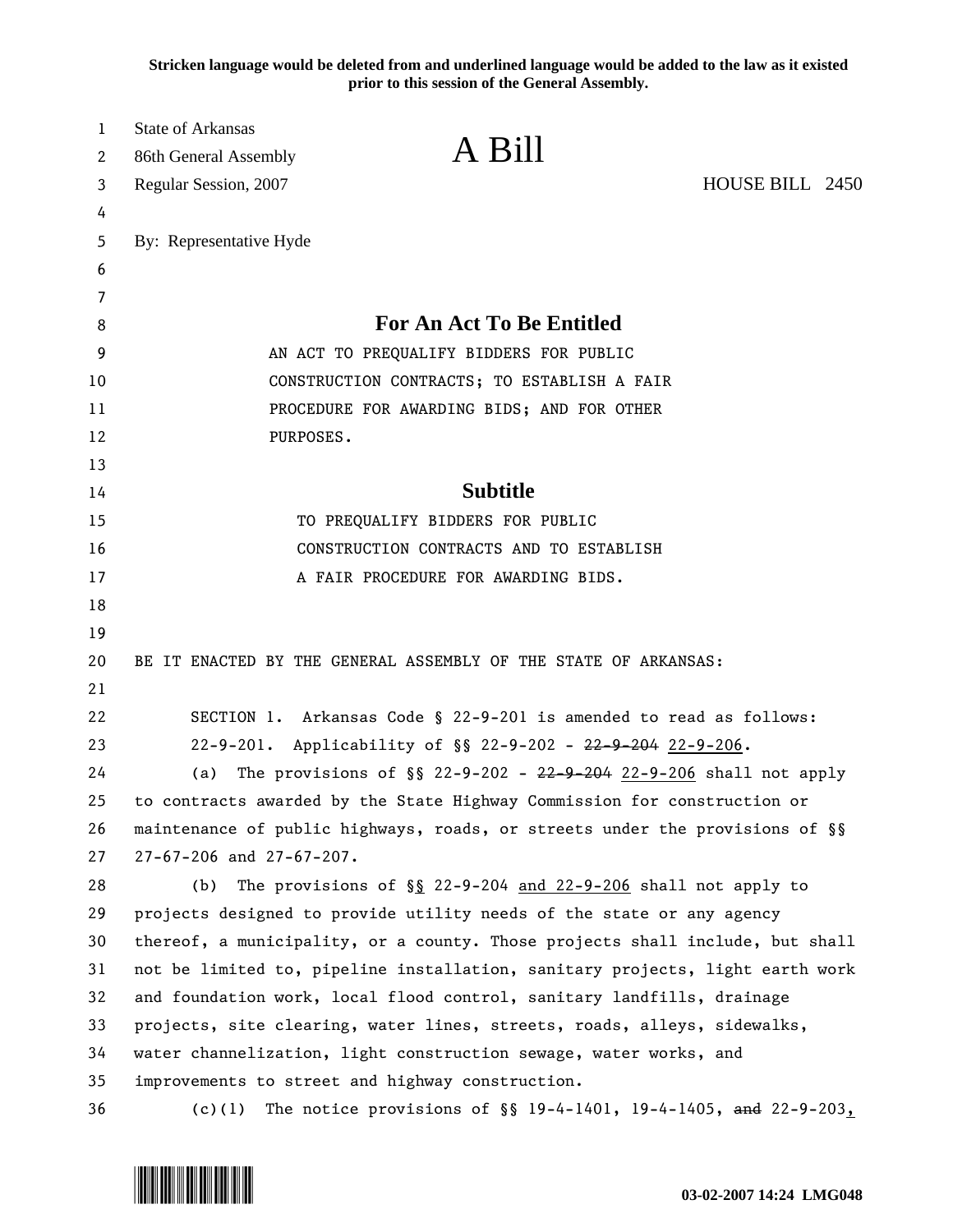**Stricken language would be deleted from and underlined language would be added to the law as it existed prior to this session of the General Assembly.**

| $\mathbf{1}$<br>2 | <b>State of Arkansas</b><br>86th General Assembly | A Bill                                                                                                                                                  |                 |
|-------------------|---------------------------------------------------|---------------------------------------------------------------------------------------------------------------------------------------------------------|-----------------|
| 3                 | Regular Session, 2007                             |                                                                                                                                                         | HOUSE BILL 2450 |
| 4                 |                                                   |                                                                                                                                                         |                 |
| 5                 | By: Representative Hyde                           |                                                                                                                                                         |                 |
| 6                 |                                                   |                                                                                                                                                         |                 |
| 7                 |                                                   |                                                                                                                                                         |                 |
| 8                 |                                                   | For An Act To Be Entitled                                                                                                                               |                 |
| 9                 |                                                   | AN ACT TO PREQUALIFY BIDDERS FOR PUBLIC                                                                                                                 |                 |
| 10                |                                                   | CONSTRUCTION CONTRACTS; TO ESTABLISH A FAIR                                                                                                             |                 |
| 11                |                                                   | PROCEDURE FOR AWARDING BIDS; AND FOR OTHER                                                                                                              |                 |
| 12                | PURPOSES.                                         |                                                                                                                                                         |                 |
| 13                |                                                   |                                                                                                                                                         |                 |
| 14                |                                                   | <b>Subtitle</b>                                                                                                                                         |                 |
| 15                |                                                   | TO PREQUALIFY BIDDERS FOR PUBLIC                                                                                                                        |                 |
| 16                |                                                   | CONSTRUCTION CONTRACTS AND TO ESTABLISH                                                                                                                 |                 |
| 17                |                                                   | A FAIR PROCEDURE FOR AWARDING BIDS.                                                                                                                     |                 |
| 18                |                                                   |                                                                                                                                                         |                 |
| 19                |                                                   |                                                                                                                                                         |                 |
| 20                |                                                   | BE IT ENACTED BY THE GENERAL ASSEMBLY OF THE STATE OF ARKANSAS:                                                                                         |                 |
| 21                |                                                   |                                                                                                                                                         |                 |
| 22                |                                                   | SECTION 1. Arkansas Code § 22-9-201 is amended to read as follows:                                                                                      |                 |
| 23                |                                                   | 22-9-201. Applicability of §§ 22-9-202 - <del>22-9-204</del> 22-9-206.                                                                                  |                 |
| 24                | (a)                                               | The provisions of $\S$ 22-9-202 - <del>22-9-204</del> 22-9-206 shall not apply                                                                          |                 |
| 25                |                                                   | to contracts awarded by the State Highway Commission for construction or                                                                                |                 |
| 26                |                                                   | maintenance of public highways, roads, or streets under the provisions of §§                                                                            |                 |
| 27                | 27-67-206 and 27-67-207.                          |                                                                                                                                                         |                 |
| 28                | (b)                                               | The provisions of $\S$ 22-9-204 and 22-9-206 shall not apply to                                                                                         |                 |
| 29                |                                                   | projects designed to provide utility needs of the state or any agency                                                                                   |                 |
| 30                |                                                   | thereof, a municipality, or a county. Those projects shall include, but shall                                                                           |                 |
| 31<br>32          |                                                   | not be limited to, pipeline installation, sanitary projects, light earth work<br>and foundation work, local flood control, sanitary landfills, drainage |                 |
| 33                |                                                   | projects, site clearing, water lines, streets, roads, alleys, sidewalks,                                                                                |                 |
| 34                |                                                   | water channelization, light construction sewage, water works, and                                                                                       |                 |
| 35                |                                                   | improvements to street and highway construction.                                                                                                        |                 |
| 36                | (c)(1)                                            | The notice provisions of $\S$ 19-4-1401, 19-4-1405, and 22-9-203,                                                                                       |                 |
|                   |                                                   |                                                                                                                                                         |                 |

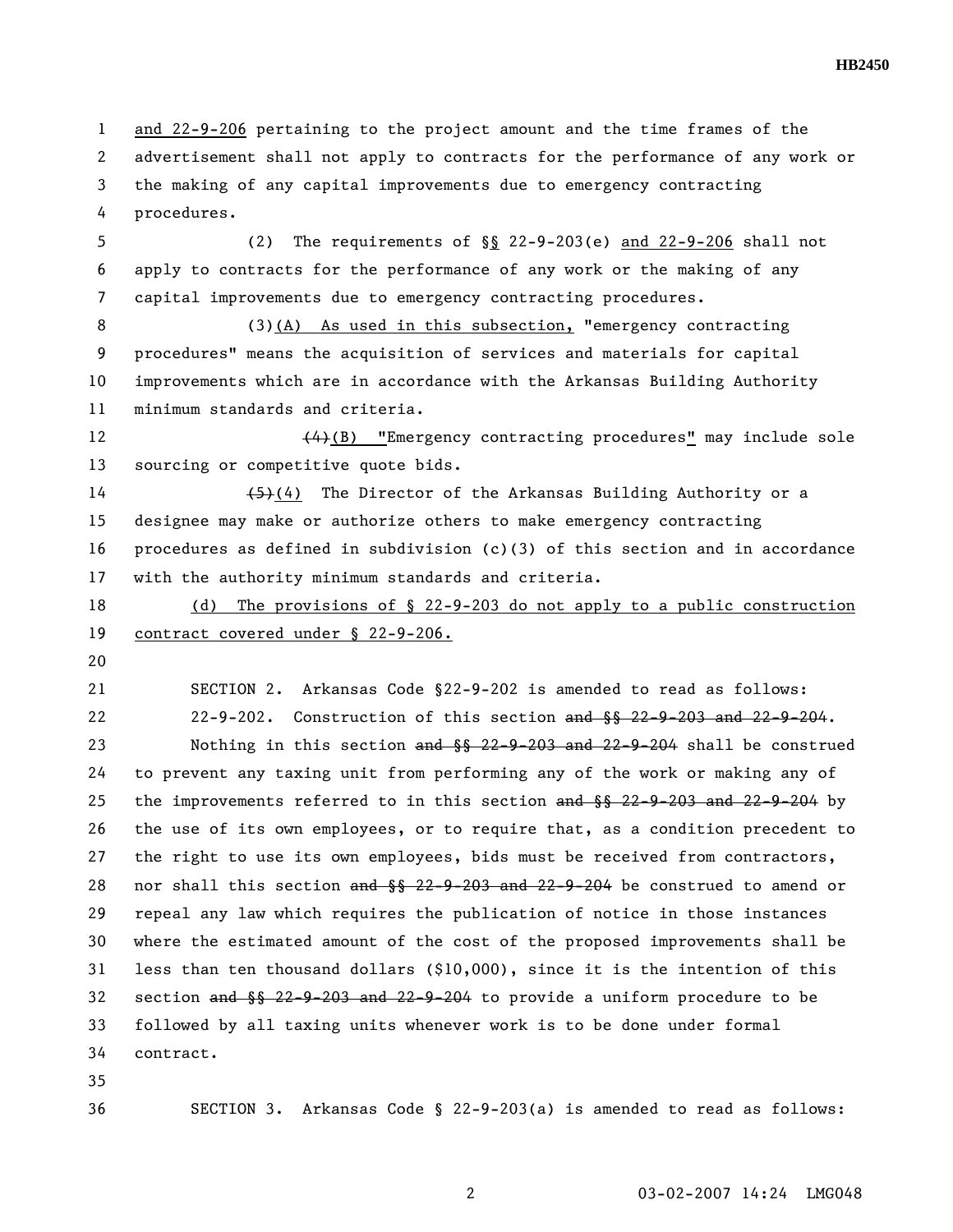**HB2450** 

1 and 22-9-206 pertaining to the project amount and the time frames of the 2 advertisement shall not apply to contracts for the performance of any work or 3 the making of any capital improvements due to emergency contracting 4 procedures.

5 (2) The requirements of §§ 22-9-203(e) and 22-9-206 shall not 6 apply to contracts for the performance of any work or the making of any 7 capital improvements due to emergency contracting procedures.

8 (3)(A) As used in this subsection, "emergency contracting 9 procedures" means the acquisition of services and materials for capital 10 improvements which are in accordance with the Arkansas Building Authority 11 minimum standards and criteria.

12 (4)(B) "Emergency contracting procedures" may include sole 13 sourcing or competitive quote bids.

14 (5)(4) The Director of the Arkansas Building Authority or a 15 designee may make or authorize others to make emergency contracting 16 procedures as defined in subdivision (c)(3) of this section and in accordance 17 with the authority minimum standards and criteria.

18 (d) The provisions of § 22-9-203 do not apply to a public construction 19 contract covered under § 22-9-206.

20

21 SECTION 2. Arkansas Code §22-9-202 is amended to read as follows: 22 22-9-202. Construction of this section and §§ 22-9-203 and 22-9-204.

23 Nothing in this section and §§ 22-9-203 and 22-9-204 shall be construed 24 to prevent any taxing unit from performing any of the work or making any of 25 the improvements referred to in this section and §§ 22-9-203 and 22-9-204 by 26 the use of its own employees, or to require that, as a condition precedent to 27 the right to use its own employees, bids must be received from contractors, 28 nor shall this section and  $\S$ § 22-9-203 and 22-9-204 be construed to amend or 29 repeal any law which requires the publication of notice in those instances 30 where the estimated amount of the cost of the proposed improvements shall be 31 less than ten thousand dollars (\$10,000), since it is the intention of this 32 section and §§ 22-9-203 and 22-9-204 to provide a uniform procedure to be 33 followed by all taxing units whenever work is to be done under formal 34 contract.

35

36 SECTION 3. Arkansas Code § 22-9-203(a) is amended to read as follows: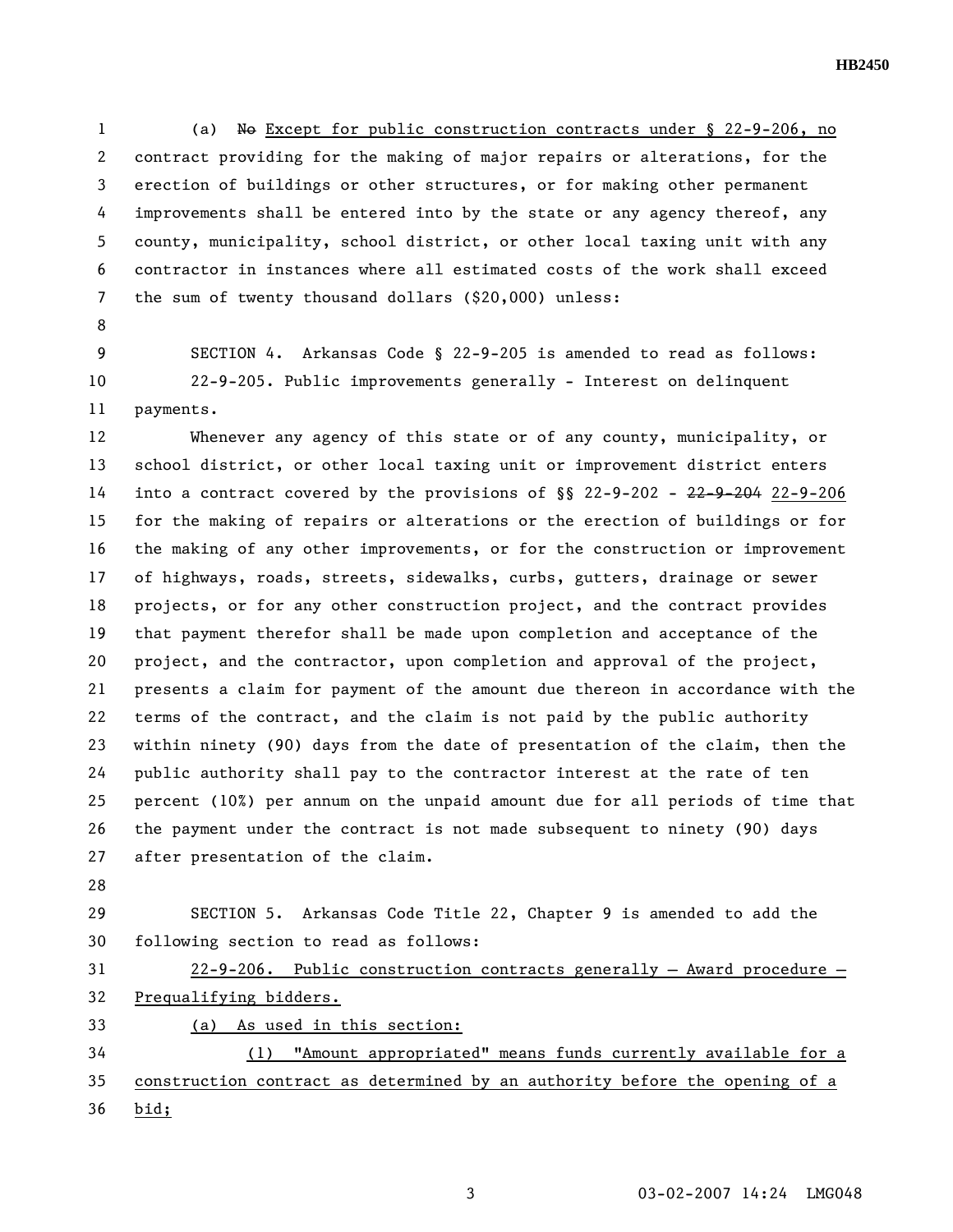1 (a) No Except for public construction contracts under § 22-9-206, no 2 contract providing for the making of major repairs or alterations, for the 3 erection of buildings or other structures, or for making other permanent 4 improvements shall be entered into by the state or any agency thereof, any 5 county, municipality, school district, or other local taxing unit with any 6 contractor in instances where all estimated costs of the work shall exceed 7 the sum of twenty thousand dollars (\$20,000) unless:

8

9 SECTION 4. Arkansas Code § 22-9-205 is amended to read as follows: 10 22-9-205. Public improvements generally - Interest on delinquent 11 payments.

12 Whenever any agency of this state or of any county, municipality, or 13 school district, or other local taxing unit or improvement district enters 14 into a contract covered by the provisions of §§ 22-9-202 - 22-9-204 22-9-206 15 for the making of repairs or alterations or the erection of buildings or for 16 the making of any other improvements, or for the construction or improvement 17 of highways, roads, streets, sidewalks, curbs, gutters, drainage or sewer 18 projects, or for any other construction project, and the contract provides 19 that payment therefor shall be made upon completion and acceptance of the 20 project, and the contractor, upon completion and approval of the project, 21 presents a claim for payment of the amount due thereon in accordance with the 22 terms of the contract, and the claim is not paid by the public authority 23 within ninety (90) days from the date of presentation of the claim, then the 24 public authority shall pay to the contractor interest at the rate of ten 25 percent (10%) per annum on the unpaid amount due for all periods of time that 26 the payment under the contract is not made subsequent to ninety (90) days 27 after presentation of the claim.

28

29 SECTION 5. Arkansas Code Title 22, Chapter 9 is amended to add the 30 following section to read as follows:

31 22-9-206. Public construction contracts generally — Award procedure — 32 Prequalifying bidders.

33 (a) As used in this section:

34 (1) "Amount appropriated" means funds currently available for a 35 construction contract as determined by an authority before the opening of a 36 bid;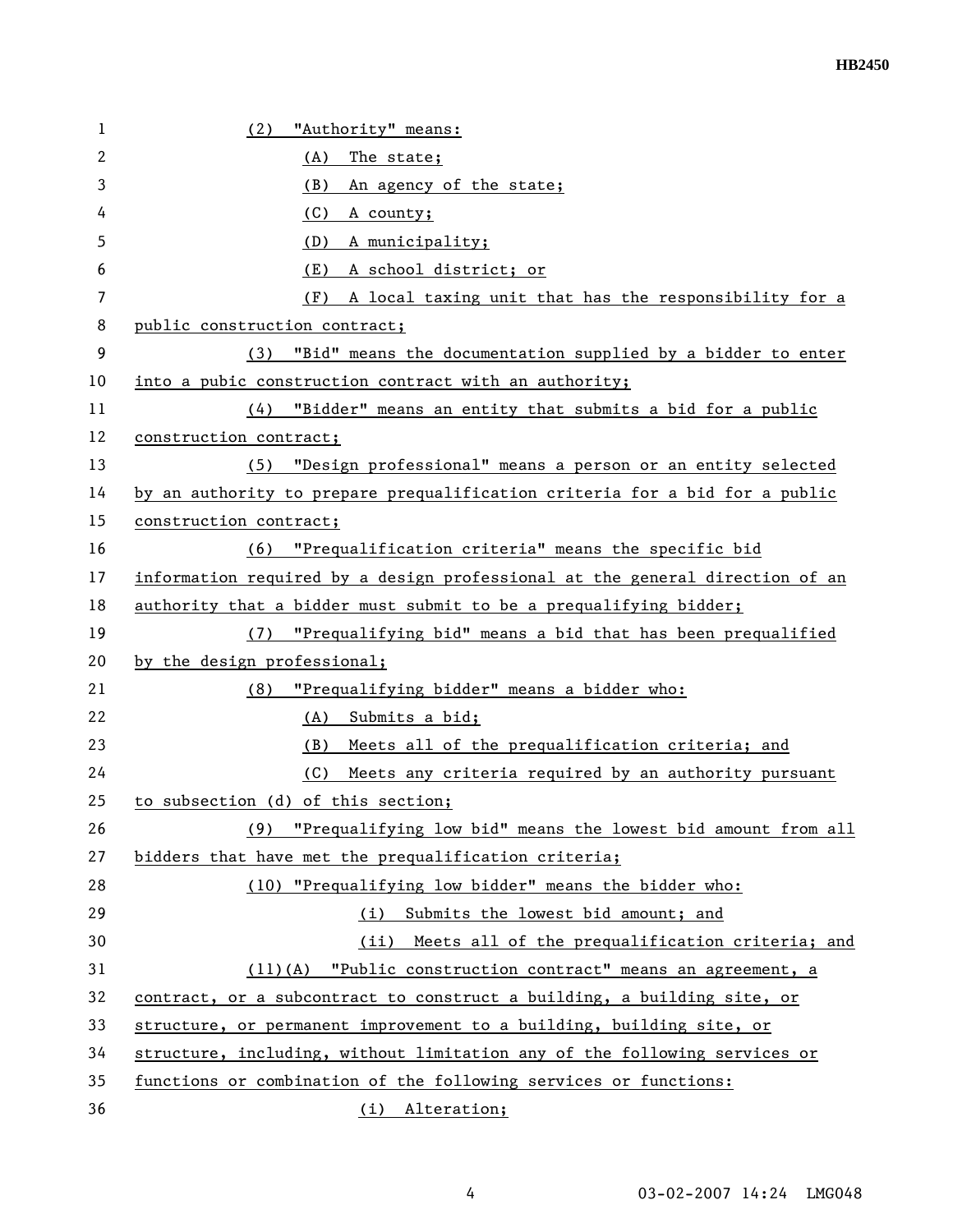| 1  | (2)<br>"Authority" means:                                                    |  |
|----|------------------------------------------------------------------------------|--|
| 2  | (A)<br>The state;                                                            |  |
| 3  | (B)<br>An agency of the state;                                               |  |
| 4  | (C)<br>A county;                                                             |  |
| 5  | (D)<br>A municipality;                                                       |  |
| 6  | A school district; or<br>(E)                                                 |  |
| 7  | A local taxing unit that has the responsibility for a<br>(F)                 |  |
| 8  | public construction contract;                                                |  |
| 9  | "Bid" means the documentation supplied by a bidder to enter<br>(3)           |  |
| 10 | into a pubic construction contract with an authority;                        |  |
| 11 | "Bidder" means an entity that submits a bid for a public<br>(4)              |  |
| 12 | construction contract;                                                       |  |
| 13 | (5) "Design professional" means a person or an entity selected               |  |
| 14 | by an authority to prepare prequalification criteria for a bid for a public  |  |
| 15 | construction contract;                                                       |  |
| 16 | "Prequalification criteria" means the specific bid<br>(6)                    |  |
| 17 | information required by a design professional at the general direction of an |  |
| 18 | authority that a bidder must submit to be a prequalifying bidder;            |  |
| 19 | "Prequalifying bid" means a bid that has been prequalified<br>(7)            |  |
| 20 | by the design professional;                                                  |  |
| 21 | "Prequalifying bidder" means a bidder who:<br>(8)                            |  |
| 22 | (A) Submits a bid;                                                           |  |
| 23 | (B) Meets all of the prequalification criteria; and                          |  |
| 24 | (C)<br>Meets any criteria required by an authority pursuant                  |  |
| 25 | to subsection (d) of this section;                                           |  |
| 26 | (9) "Prequalifying low bid" means the lowest bid amount from all             |  |
| 27 | bidders that have met the prequalification criteria;                         |  |
| 28 | (10) "Prequalifying low bidder" means the bidder who:                        |  |
| 29 | Submits the lowest bid amount; and<br>(i)                                    |  |
| 30 | (ii) Meets all of the prequalification criteria; and                         |  |
| 31 | $(11)(A)$ "Public construction contract" means an agreement, a               |  |
| 32 | contract, or a subcontract to construct a building, a building site, or      |  |
| 33 | structure, or permanent improvement to a building, building site, or         |  |
| 34 | structure, including, without limitation any of the following services or    |  |
| 35 | functions or combination of the following services or functions:             |  |
| 36 | (i) Alteration;                                                              |  |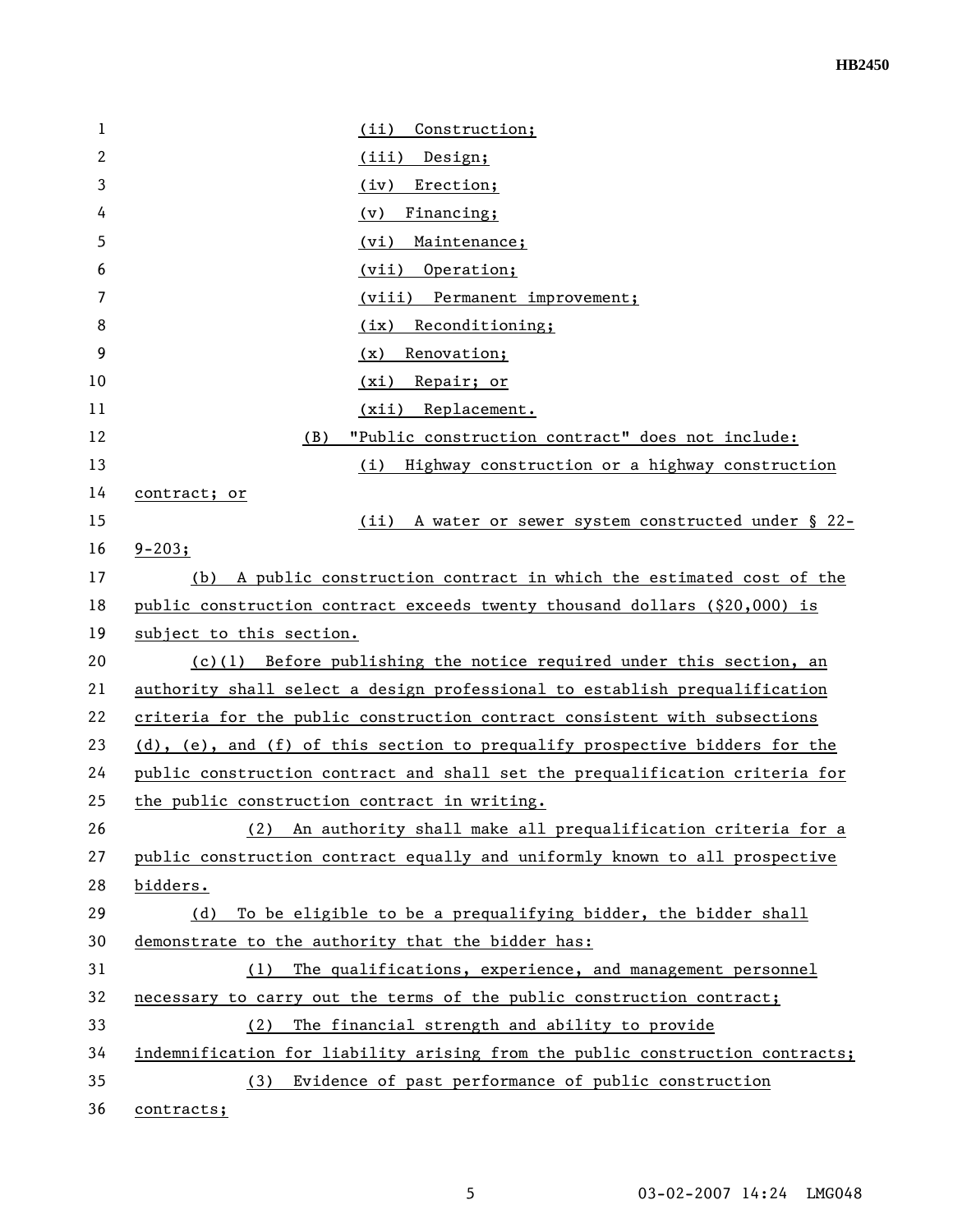| 1  | Construction;<br>(ii)                                                         |
|----|-------------------------------------------------------------------------------|
| 2  | (iii) Design;                                                                 |
| 3  | Erection;<br>(iy)                                                             |
| 4  | (v)<br>Financing;                                                             |
| 5  | (vi)<br>Maintenance;                                                          |
| 6  | (vii) Operation;                                                              |
| 7  | (viii) Permanent improvement;                                                 |
| 8  | Reconditioning;<br>(ix)                                                       |
| 9  | Renovation;<br>(x)                                                            |
| 10 | Repair; or<br>(xi)                                                            |
| 11 | (xii) Replacement.                                                            |
| 12 | "Public construction contract" does not include:<br>(B)                       |
| 13 | (i)<br>Highway construction or a highway construction                         |
| 14 | contract; or                                                                  |
| 15 | (ii)<br>A water or sewer system constructed under § 22-                       |
| 16 | $9 - 203;$                                                                    |
| 17 | A public construction contract in which the estimated cost of the<br>(b)      |
| 18 | public construction contract exceeds twenty thousand dollars (\$20,000) is    |
| 19 | subject to this section.                                                      |
| 20 | $(c)(1)$ Before publishing the notice required under this section, an         |
| 21 | authority shall select a design professional to establish prequalification    |
| 22 | criteria for the public construction contract consistent with subsections     |
| 23 | (d), (e), and (f) of this section to prequalify prospective bidders for the   |
| 24 | public construction contract and shall set the prequalification criteria for  |
| 25 | the public construction contract in writing.                                  |
| 26 | An authority shall make all prequalification criteria for a<br>(2)            |
| 27 | public construction contract equally and uniformly known to all prospective   |
| 28 | bidders.                                                                      |
| 29 | To be eligible to be a prequalifying bidder, the bidder shall<br>(d)          |
| 30 | demonstrate to the authority that the bidder has:                             |
| 31 | The qualifications, experience, and management personnel<br>(1)               |
| 32 | necessary to carry out the terms of the public construction contract;         |
| 33 | The financial strength and ability to provide<br>(2)                          |
| 34 | indemnification for liability arising from the public construction contracts; |
| 35 | (3) Evidence of past performance of public construction                       |
| 36 | contracts;                                                                    |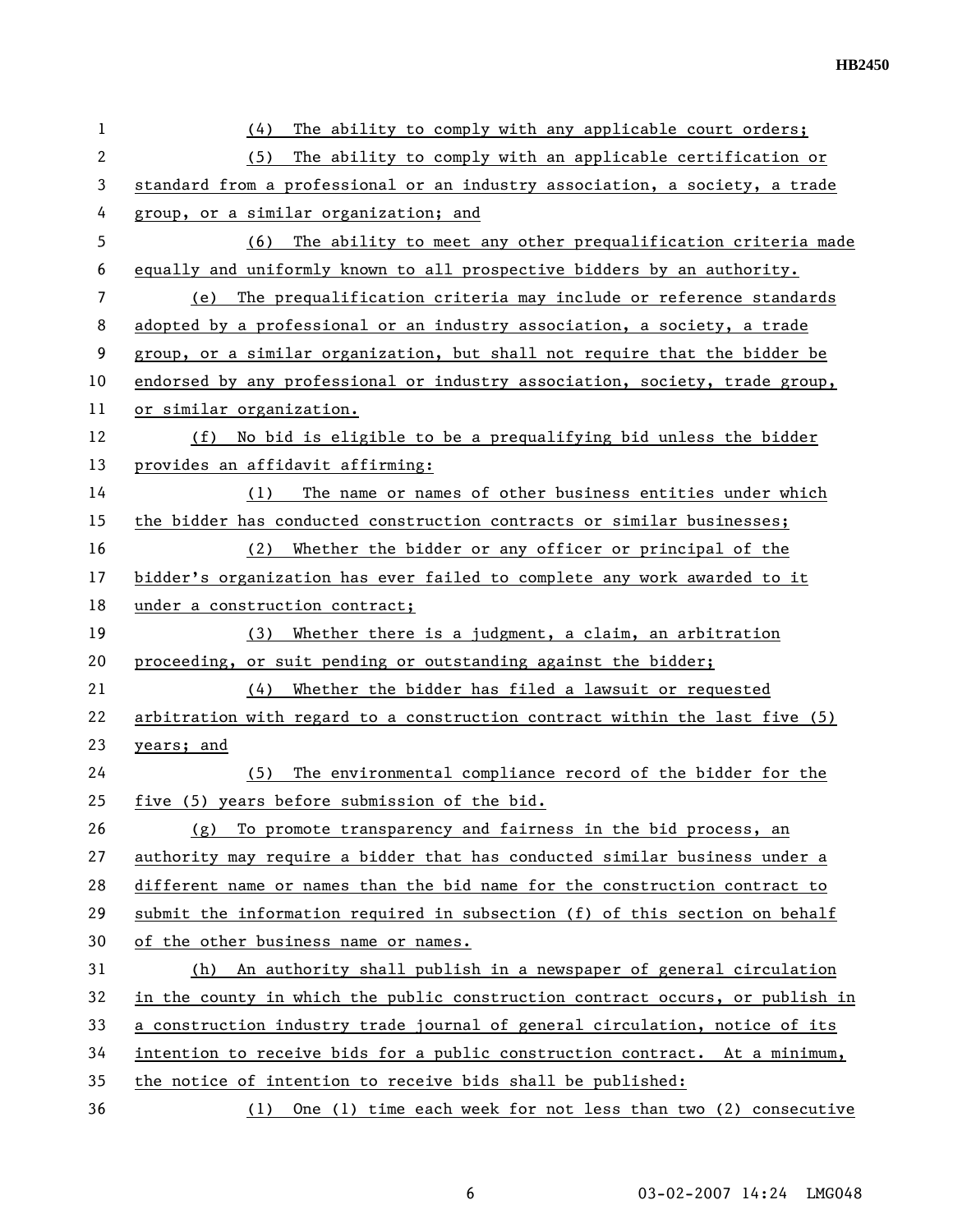| 1  | The ability to comply with any applicable court orders;<br>(4)                |  |
|----|-------------------------------------------------------------------------------|--|
| 2  | (5)<br>The ability to comply with an applicable certification or              |  |
| 3  | standard from a professional or an industry association, a society, a trade   |  |
| 4  | group, or a similar organization; and                                         |  |
| 5  | The ability to meet any other prequalification criteria made<br>(6)           |  |
| 6  | equally and uniformly known to all prospective bidders by an authority.       |  |
| 7  | The prequalification criteria may include or reference standards<br>(e)       |  |
| 8  | adopted by a professional or an industry association, a society, a trade      |  |
| 9  | group, or a similar organization, but shall not require that the bidder be    |  |
| 10 | endorsed by any professional or industry association, society, trade group,   |  |
| 11 | or similar organization.                                                      |  |
| 12 | No bid is eligible to be a prequalifying bid unless the bidder<br>(f)         |  |
| 13 | provides an affidavit affirming:                                              |  |
| 14 | The name or names of other business entities under which<br>(1)               |  |
| 15 | the bidder has conducted construction contracts or similar businesses;        |  |
| 16 | Whether the bidder or any officer or principal of the<br>(2)                  |  |
| 17 | bidder's organization has ever failed to complete any work awarded to it      |  |
| 18 | under a construction contract;                                                |  |
| 19 | (3)<br>Whether there is a judgment, a claim, an arbitration                   |  |
| 20 | proceeding, or suit pending or outstanding against the bidder;                |  |
| 21 | (4)<br>Whether the bidder has filed a lawsuit or requested                    |  |
| 22 | arbitration with regard to a construction contract within the last five (5)   |  |
| 23 | years; and                                                                    |  |
| 24 | The environmental compliance record of the bidder for the<br>(5)              |  |
| 25 | five (5) years before submission of the bid.                                  |  |
| 26 | To promote transparency and fairness in the bid process, an<br>(g)            |  |
| 27 | authority may require a bidder that has conducted similar business under a    |  |
| 28 | different name or names than the bid name for the construction contract to    |  |
| 29 | submit the information required in subsection (f) of this section on behalf   |  |
| 30 | of the other business name or names.                                          |  |
| 31 | An authority shall publish in a newspaper of general circulation<br>(h)       |  |
| 32 | in the county in which the public construction contract occurs, or publish in |  |
| 33 | a construction industry trade journal of general circulation, notice of its   |  |
| 34 | intention to receive bids for a public construction contract. At a minimum,   |  |
| 35 | the notice of intention to receive bids shall be published:                   |  |
| 36 | (1) One (1) time each week for not less than two (2) consecutive              |  |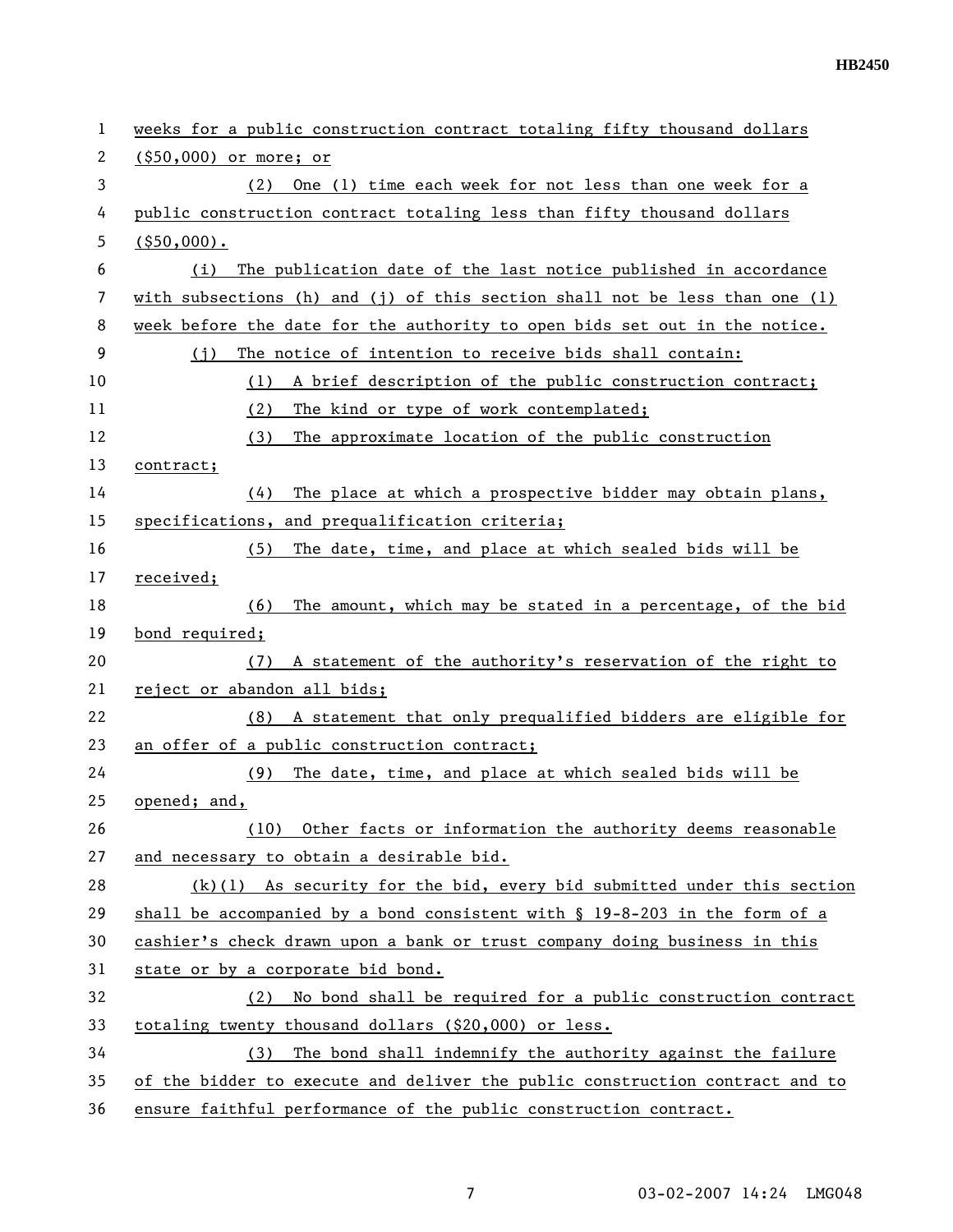| 1  | weeks for a public construction contract totaling fifty thousand dollars      |  |
|----|-------------------------------------------------------------------------------|--|
| 2  | $($ \$50,000) or more; or                                                     |  |
| 3  | One (1) time each week for not less than one week for a<br>(2)                |  |
| 4  | public construction contract totaling less than fifty thousand dollars        |  |
| 5  | $($ \$50,000).                                                                |  |
| 6  | The publication date of the last notice published in accordance<br>(i)        |  |
| 7  | with subsections (h) and (j) of this section shall not be less than one (1)   |  |
| 8  | week before the date for the authority to open bids set out in the notice.    |  |
| 9  | The notice of intention to receive bids shall contain:<br>(i)                 |  |
| 10 | A brief description of the public construction contract;<br>(1)               |  |
| 11 | The kind or type of work contemplated;<br>(2)                                 |  |
| 12 | (3)<br>The approximate location of the public construction                    |  |
| 13 | contract;                                                                     |  |
| 14 | The place at which a prospective bidder may obtain plans,<br>(4)              |  |
| 15 | specifications, and prequalification criteria;                                |  |
| 16 | The date, time, and place at which sealed bids will be<br>(5)                 |  |
| 17 | received;                                                                     |  |
| 18 | The amount, which may be stated in a percentage, of the bid<br>(6)            |  |
| 19 | bond required;                                                                |  |
| 20 | A statement of the authority's reservation of the right to<br>(7)             |  |
| 21 | reject or abandon all bids;                                                   |  |
| 22 | (8) A statement that only prequalified bidders are eligible for               |  |
| 23 | an offer of a public construction contract;                                   |  |
| 24 | The date, time, and place at which sealed bids will be<br>(9)                 |  |
| 25 | opened; and,                                                                  |  |
| 26 | Other facts or information the authority deems reasonable<br>(10)             |  |
| 27 | and necessary to obtain a desirable bid.                                      |  |
| 28 | $(k)(1)$ As security for the bid, every bid submitted under this section      |  |
| 29 | shall be accompanied by a bond consistent with $\S$ 19-8-203 in the form of a |  |
| 30 | cashier's check drawn upon a bank or trust company doing business in this     |  |
| 31 | state or by a corporate bid bond.                                             |  |
| 32 | No bond shall be required for a public construction contract<br>(2)           |  |
| 33 | totaling twenty thousand dollars (\$20,000) or less.                          |  |
| 34 | The bond shall indemnify the authority against the failure<br>(3)             |  |
| 35 | of the bidder to execute and deliver the public construction contract and to  |  |
| 36 | ensure faithful performance of the public construction contract.              |  |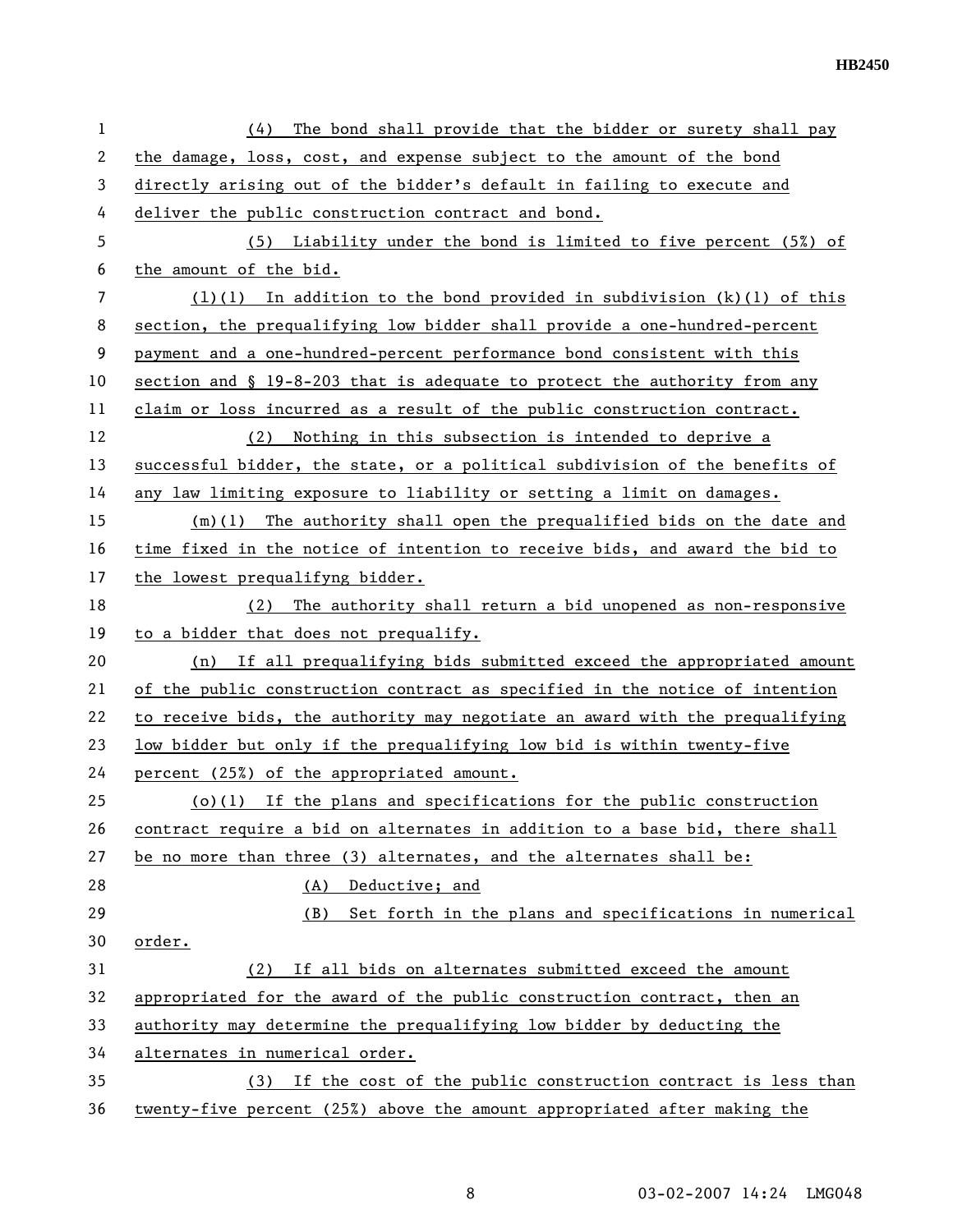**HB2450** 

| $\mathbf{1}$   | The bond shall provide that the bidder or surety shall pay<br>(4)            |
|----------------|------------------------------------------------------------------------------|
| 2              | the damage, loss, cost, and expense subject to the amount of the bond        |
| 3              | directly arising out of the bidder's default in failing to execute and       |
| 4              | deliver the public construction contract and bond.                           |
| 5              | (5) Liability under the bond is limited to five percent (5%) of              |
| 6              | the amount of the bid.                                                       |
| $\overline{7}$ | $(1)(1)$ In addition to the bond provided in subdivision $(k)(1)$ of this    |
| 8              | section, the prequalifying low bidder shall provide a one-hundred-percent    |
| $\overline{9}$ | payment and a one-hundred-percent performance bond consistent with this      |
| 10             | section and § 19-8-203 that is adequate to protect the authority from any    |
| 11             | claim or loss incurred as a result of the public construction contract.      |
| 12             | (2) Nothing in this subsection is intended to deprive a                      |
| 13             | successful bidder, the state, or a political subdivision of the benefits of  |
| 14             | any law limiting exposure to liability or setting a limit on damages.        |
| 15             | $(m)(1)$ The authority shall open the prequalified bids on the date and      |
| 16             | time fixed in the notice of intention to receive bids, and award the bid to  |
| 17             | the lowest prequalifyng bidder.                                              |
| 18             | (2) The authority shall return a bid unopened as non-responsive              |
| 19             | to a bidder that does not prequalify.                                        |
| 20             | (n) If all prequalifying bids submitted exceed the appropriated amount       |
| 21             | of the public construction contract as specified in the notice of intention  |
| 22             | to receive bids, the authority may negotiate an award with the prequalifying |
| 23             | low bidder but only if the prequalifying low bid is within twenty-five       |
| 24             | percent (25%) of the appropriated amount.                                    |
| 25             | $(o)(1)$ If the plans and specifications for the public construction         |
| 26             | contract require a bid on alternates in addition to a base bid, there shall  |
| 27             | be no more than three (3) alternates, and the alternates shall be:           |
| 28             | (A)<br>Deductive; and                                                        |
| 29             | Set forth in the plans and specifications in numerical<br>(B)                |
| 30             | order.                                                                       |
| 31             | (2) If all bids on alternates submitted exceed the amount                    |
| 32             | appropriated for the award of the public construction contract, then an      |
| 33             | authority may determine the prequalifying low bidder by deducting the        |
| 34             | alternates in numerical order.                                               |
| 35             | (3) If the cost of the public construction contract is less than             |
| 36             | twenty-five percent (25%) above the amount appropriated after making the     |